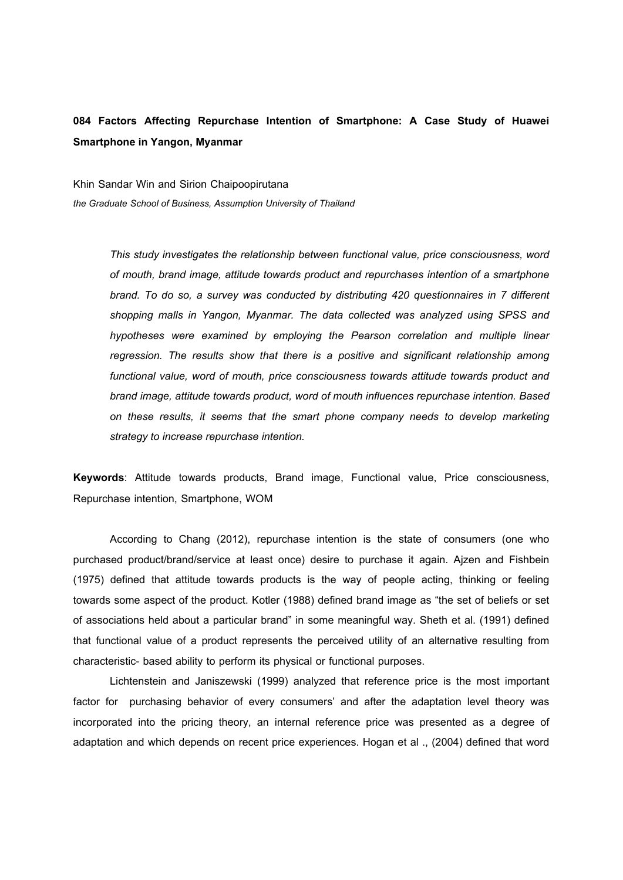# **084 Factors Affecting Repurchase Intention of Smartphone: A Case Study of Huawei Smartphone in Yangon, Myanmar**

Khin Sandar Win and Sirion Chaipoopirutana *the Graduate School of Business, Assumption University of Thailand* 

> *This study investigates the relationship between functional value, price consciousness, word of mouth, brand image, attitude towards product and repurchases intention of a smartphone brand. To do so, a survey was conducted by distributing 420 questionnaires in 7 different shopping malls in Yangon, Myanmar. The data collected was analyzed using SPSS and hypotheses were examined by employing the Pearson correlation and multiple linear regression. The results show that there is a positive and significant relationship among functional value, word of mouth, price consciousness towards attitude towards product and brand image, attitude towards product, word of mouth influences repurchase intention. Based on these results, it seems that the smart phone company needs to develop marketing strategy to increase repurchase intention.*

**Keywords**: Attitude towards products, Brand image, Functional value, Price consciousness, Repurchase intention, Smartphone, WOM

According to Chang (2012), repurchase intention is the state of consumers (one who purchased product/brand/service at least once) desire to purchase it again. Ajzen and Fishbein (1975) defined that attitude towards products is the way of people acting, thinking or feeling towards some aspect of the product. Kotler (1988) defined brand image as "the set of beliefs or set of associations held about a particular brand" in some meaningful way. Sheth et al. (1991) defined that functional value of a product represents the perceived utility of an alternative resulting from characteristic- based ability to perform its physical or functional purposes.

Lichtenstein and Janiszewski (1999) analyzed that reference price is the most important factor for purchasing behavior of every consumers' and after the adaptation level theory was incorporated into the pricing theory, an internal reference price was presented as a degree of adaptation and which depends on recent price experiences. Hogan et al ., (2004) defined that word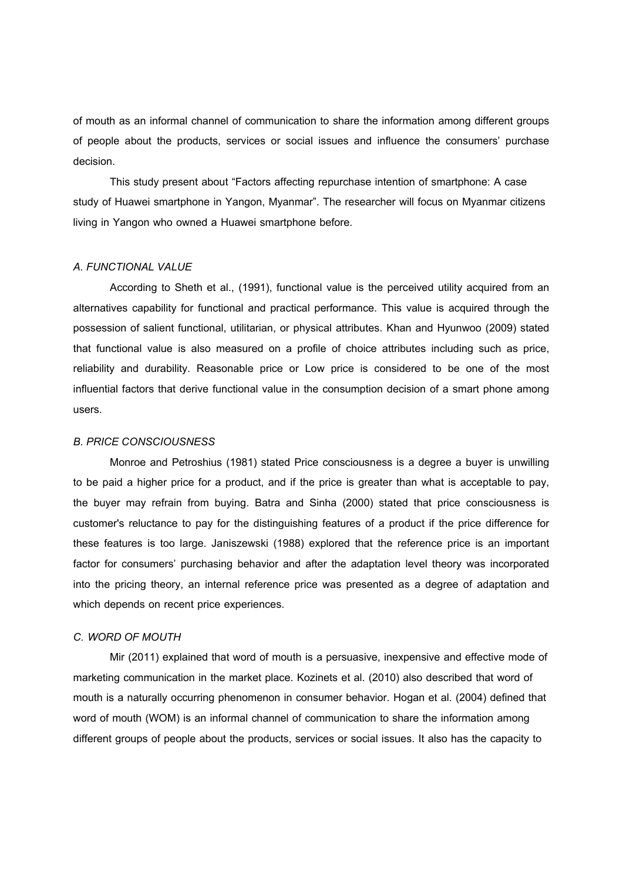of mouth as an informal channel of communication to share the information among different groups of people about the products, services or social issues and influence the consumers' purchase decision.

This study present about "Factors affecting repurchase intention of smartphone: A case study of Huawei smartphone in Yangon, Myanmar". The researcher will focus on Myanmar citizens living in Yangon who owned a Huawei smartphone before.

### *A. FUNCTIONAL VALUE*

According to Sheth et al., (1991), functional value is the perceived utility acquired from an alternatives capability for functional and practical performance. This value is acquired through the possession of salient functional, utilitarian, or physical attributes. Khan and Hyunwoo (2009) stated that functional value is also measured on a profile of choice attributes including such as price, reliability and durability. Reasonable price or Low price is considered to be one of the most influential factors that derive functional value in the consumption decision of a smart phone among users.

#### *B. PRICE CONSCIOUSNESS*

Monroe and Petroshius (1981) stated Price consciousness is a degree a buyer is unwilling to be paid a higher price for a product, and if the price is greater than what is acceptable to pay, the buyer may refrain from buying. Batra and Sinha (2000) stated that price consciousness is customer's reluctance to pay for the distinguishing features of a product if the price difference for these features is too large. Janiszewski (1988) explored that the reference price is an important factor for consumers' purchasing behavior and after the adaptation level theory was incorporated into the pricing theory, an internal reference price was presented as a degree of adaptation and which depends on recent price experiences.

#### *C. WORD OF MOUTH*

Mir (2011) explained that word of mouth is a persuasive, inexpensive and effective mode of marketing communication in the market place. Kozinets et al. (2010) also described that word of mouth is a naturally occurring phenomenon in consumer behavior. Hogan et al. (2004) defined that word of mouth (WOM) is an informal channel of communication to share the information among different groups of people about the products, services or social issues. It also has the capacity to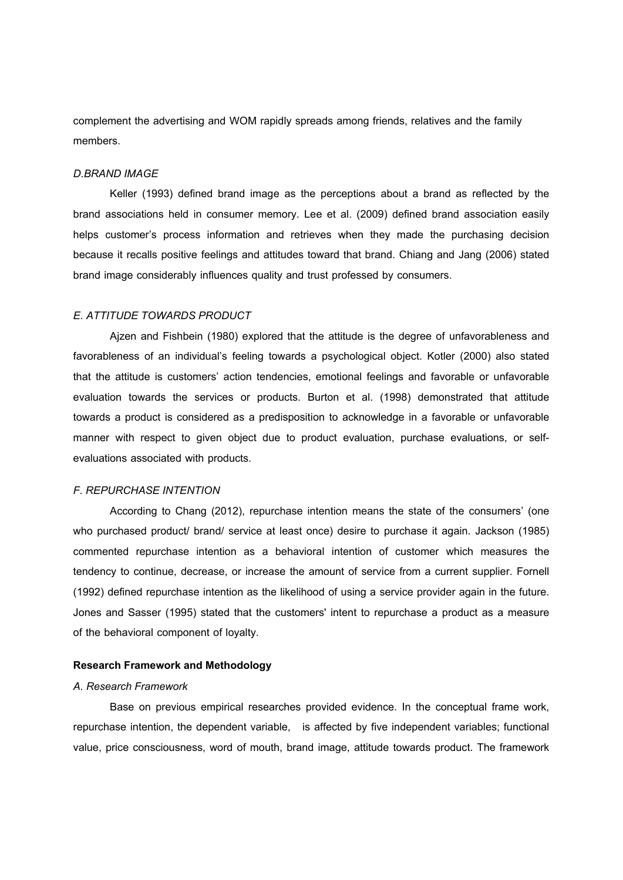complement the advertising and WOM rapidly spreads among friends, relatives and the family members.

#### *D.BRAND IMAGE*

Keller (1993) defined brand image as the perceptions about a brand as reflected by the brand associations held in consumer memory. Lee et al. (2009) defined brand association easily helps customer's process information and retrieves when they made the purchasing decision because it recalls positive feelings and attitudes toward that brand. Chiang and Jang (2006) stated brand image considerably influences quality and trust professed by consumers.

# *E. ATTITUDE TOWARDS PRODUCT*

Ajzen and Fishbein (1980) explored that the attitude is the degree of unfavorableness and favorableness of an individual's feeling towards a psychological object. Kotler (2000) also stated that the attitude is customers' action tendencies, emotional feelings and favorable or unfavorable evaluation towards the services or products. Burton et al. (1998) demonstrated that attitude towards a product is considered as a predisposition to acknowledge in a favorable or unfavorable manner with respect to given object due to product evaluation, purchase evaluations, or selfevaluations associated with products.

### *F. REPURCHASE INTENTION*

According to Chang (2012), repurchase intention means the state of the consumers' (one who purchased product/ brand/ service at least once) desire to purchase it again. Jackson (1985) commented repurchase intention as a behavioral intention of customer which measures the tendency to continue, decrease, or increase the amount of service from a current supplier. Fornell (1992) defined repurchase intention as the likelihood of using a service provider again in the future. Jones and Sasser (1995) stated that the customers' intent to repurchase a product as a measure of the behavioral component of loyalty.

#### **Research Framework and Methodology**

#### *A. Research Framework*

Base on previous empirical researches provided evidence. In the conceptual frame work, repurchase intention, the dependent variable, is affected by five independent variables; functional value, price consciousness, word of mouth, brand image, attitude towards product. The framework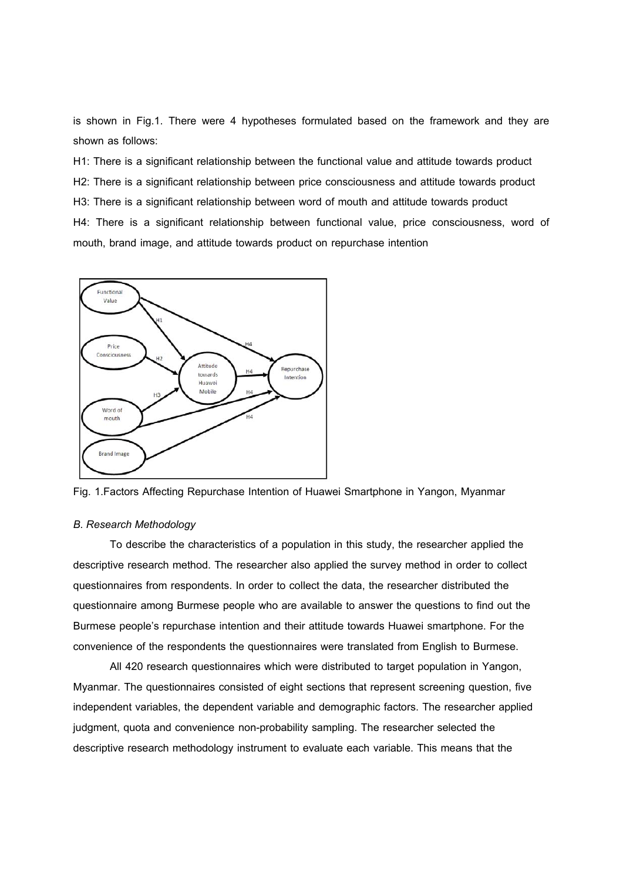is shown in Fig.1. There were 4 hypotheses formulated based on the framework and they are shown as follows:

H1: There is a significant relationship between the functional value and attitude towards product H2: There is a significant relationship between price consciousness and attitude towards product H3: There is a significant relationship between word of mouth and attitude towards product H4: There is a significant relationship between functional value, price consciousness, word of mouth, brand image, and attitude towards product on repurchase intention



Fig. 1.Factors Affecting Repurchase Intention of Huawei Smartphone in Yangon, Myanmar

### *B. Research Methodology*

To describe the characteristics of a population in this study, the researcher applied the descriptive research method. The researcher also applied the survey method in order to collect questionnaires from respondents. In order to collect the data, the researcher distributed the questionnaire among Burmese people who are available to answer the questions to find out the Burmese people's repurchase intention and their attitude towards Huawei smartphone. For the convenience of the respondents the questionnaires were translated from English to Burmese.

All 420 research questionnaires which were distributed to target population in Yangon, Myanmar. The questionnaires consisted of eight sections that represent screening question, five independent variables, the dependent variable and demographic factors. The researcher applied judgment, quota and convenience non-probability sampling. The researcher selected the descriptive research methodology instrument to evaluate each variable. This means that the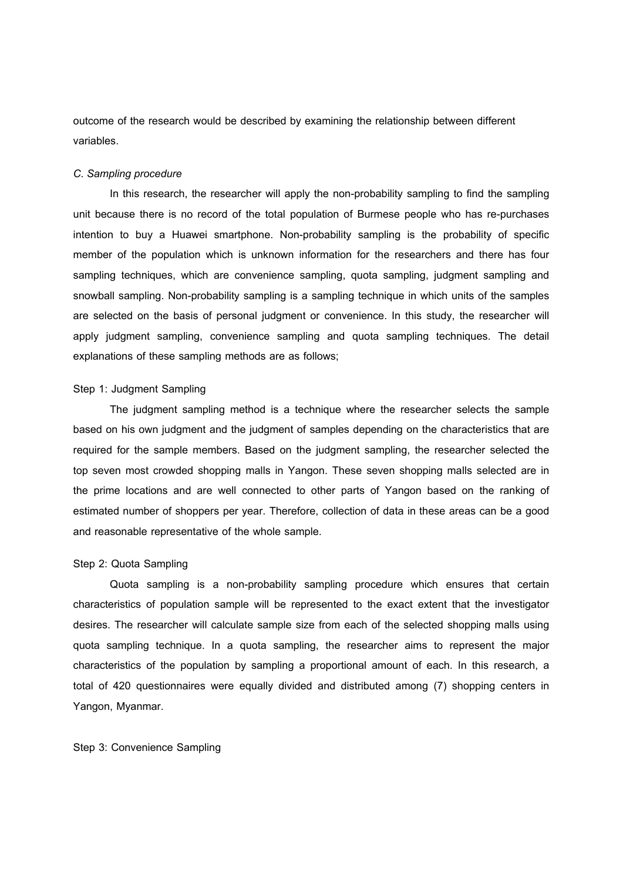outcome of the research would be described by examining the relationship between different variables.

#### *C. Sampling procedure*

In this research, the researcher will apply the non-probability sampling to find the sampling unit because there is no record of the total population of Burmese people who has re-purchases intention to buy a Huawei smartphone. Non-probability sampling is the probability of specific member of the population which is unknown information for the researchers and there has four sampling techniques, which are convenience sampling, quota sampling, judgment sampling and snowball sampling. Non-probability sampling is a sampling technique in which units of the samples are selected on the basis of personal judgment or convenience. In this study, the researcher will apply judgment sampling, convenience sampling and quota sampling techniques. The detail explanations of these sampling methods are as follows;

### Step 1: Judgment Sampling

The judgment sampling method is a technique where the researcher selects the sample based on his own judgment and the judgment of samples depending on the characteristics that are required for the sample members. Based on the judgment sampling, the researcher selected the top seven most crowded shopping malls in Yangon. These seven shopping malls selected are in the prime locations and are well connected to other parts of Yangon based on the ranking of estimated number of shoppers per year. Therefore, collection of data in these areas can be a good and reasonable representative of the whole sample.

#### Step 2: Quota Sampling

Quota sampling is a non-probability sampling procedure which ensures that certain characteristics of population sample will be represented to the exact extent that the investigator desires. The researcher will calculate sample size from each of the selected shopping malls using quota sampling technique. In a quota sampling, the researcher aims to represent the major characteristics of the population by sampling a proportional amount of each. In this research, a total of 420 questionnaires were equally divided and distributed among (7) shopping centers in Yangon, Myanmar.

### Step 3: Convenience Sampling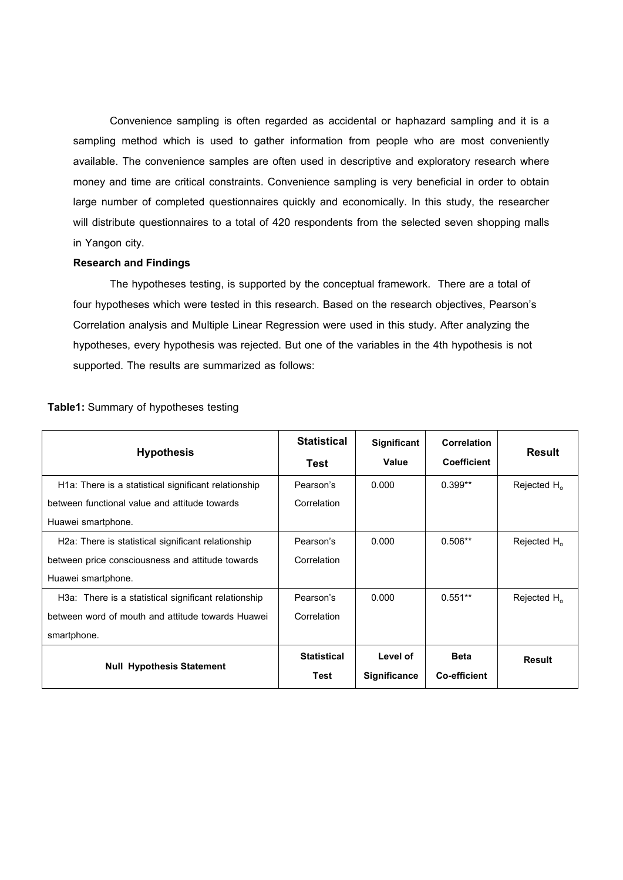Convenience sampling is often regarded as accidental or haphazard sampling and it is a sampling method which is used to gather information from people who are most conveniently available. The convenience samples are often used in descriptive and exploratory research where money and time are critical constraints. Convenience sampling is very beneficial in order to obtain large number of completed questionnaires quickly and economically. In this study, the researcher will distribute questionnaires to a total of 420 respondents from the selected seven shopping malls in Yangon city.

#### **Research and Findings**

The hypotheses testing, is supported by the conceptual framework. There are a total of four hypotheses which were tested in this research. Based on the research objectives, Pearson's Correlation analysis and Multiple Linear Regression were used in this study. After analyzing the hypotheses, every hypothesis was rejected. But one of the variables in the 4th hypothesis is not supported. The results are summarized as follows:

| <b>Hypothesis</b>                                                 | <b>Statistical</b>  | <b>Significant</b>              | <b>Correlation</b>                 | <b>Result</b>  |
|-------------------------------------------------------------------|---------------------|---------------------------------|------------------------------------|----------------|
|                                                                   | Test                | Value                           | <b>Coefficient</b>                 |                |
| H <sub>1</sub> a: There is a statistical significant relationship | Pearson's           | 0.000                           | $0.399**$                          | Rejected $H_0$ |
| between functional value and attitude towards                     | Correlation         |                                 |                                    |                |
| Huawei smartphone.                                                |                     |                                 |                                    |                |
| H2a: There is statistical significant relationship                | Pearson's           | 0.000                           | $0.506**$                          | Rejected $H_0$ |
| between price consciousness and attitude towards                  | Correlation         |                                 |                                    |                |
| Huawei smartphone.                                                |                     |                                 |                                    |                |
| H3a: There is a statistical significant relationship              | Pearson's           | 0.000                           | $0.551**$                          | Rejected $H_0$ |
| between word of mouth and attitude towards Huawei                 | Correlation         |                                 |                                    |                |
| smartphone.                                                       |                     |                                 |                                    |                |
| <b>Null Hypothesis Statement</b>                                  | Statistical<br>Test | Level of<br><b>Significance</b> | <b>Beta</b><br><b>Co-efficient</b> | Result         |

# **Table1:** Summary of hypotheses testing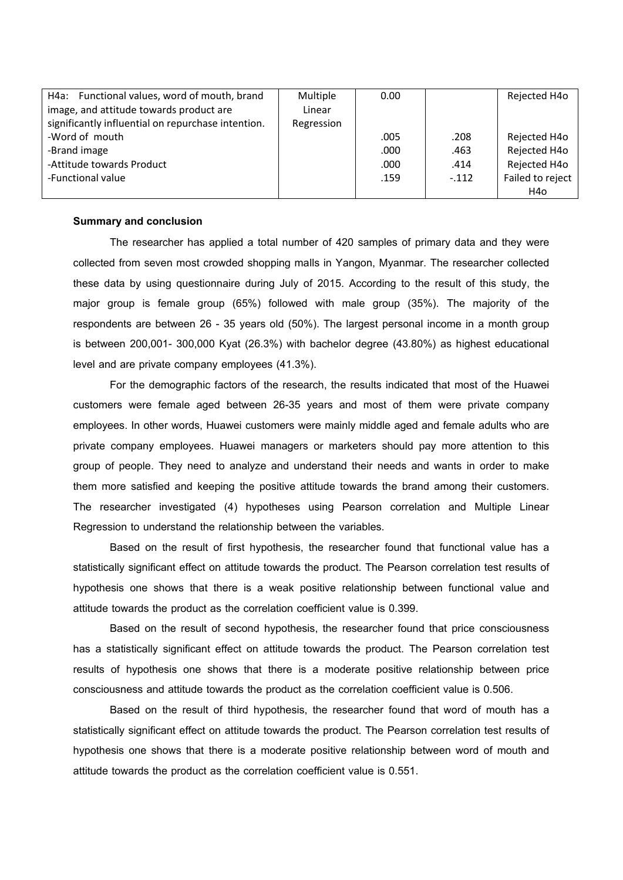| H4a: Functional values, word of mouth, brand       | Multiple   | 0.00 |         | Rejected H4o     |
|----------------------------------------------------|------------|------|---------|------------------|
| image, and attitude towards product are            | Linear     |      |         |                  |
| significantly influential on repurchase intention. | Regression |      |         |                  |
| -Word of mouth                                     |            | .005 | .208    | Rejected H4o     |
| -Brand image                                       |            | .000 | .463    | Rejected H4o     |
| -Attitude towards Product                          |            | .000 | .414    | Rejected H4o     |
| -Functional value                                  |            | .159 | $-.112$ | Failed to reject |
|                                                    |            |      |         | H4o              |

#### **Summary and conclusion**

The researcher has applied a total number of 420 samples of primary data and they were collected from seven most crowded shopping malls in Yangon, Myanmar. The researcher collected these data by using questionnaire during July of 2015. According to the result of this study, the major group is female group (65%) followed with male group (35%). The majority of the respondents are between 26 - 35 years old (50%). The largest personal income in a month group is between 200,001- 300,000 Kyat (26.3%) with bachelor degree (43.80%) as highest educational level and are private company employees (41.3%).

For the demographic factors of the research, the results indicated that most of the Huawei customers were female aged between 26-35 years and most of them were private company employees. In other words, Huawei customers were mainly middle aged and female adults who are private company employees. Huawei managers or marketers should pay more attention to this group of people. They need to analyze and understand their needs and wants in order to make them more satisfied and keeping the positive attitude towards the brand among their customers. The researcher investigated (4) hypotheses using Pearson correlation and Multiple Linear Regression to understand the relationship between the variables.

Based on the result of first hypothesis, the researcher found that functional value has a statistically significant effect on attitude towards the product. The Pearson correlation test results of hypothesis one shows that there is a weak positive relationship between functional value and attitude towards the product as the correlation coefficient value is 0.399.

Based on the result of second hypothesis, the researcher found that price consciousness has a statistically significant effect on attitude towards the product. The Pearson correlation test results of hypothesis one shows that there is a moderate positive relationship between price consciousness and attitude towards the product as the correlation coefficient value is 0.506.

Based on the result of third hypothesis, the researcher found that word of mouth has a statistically significant effect on attitude towards the product. The Pearson correlation test results of hypothesis one shows that there is a moderate positive relationship between word of mouth and attitude towards the product as the correlation coefficient value is 0.551.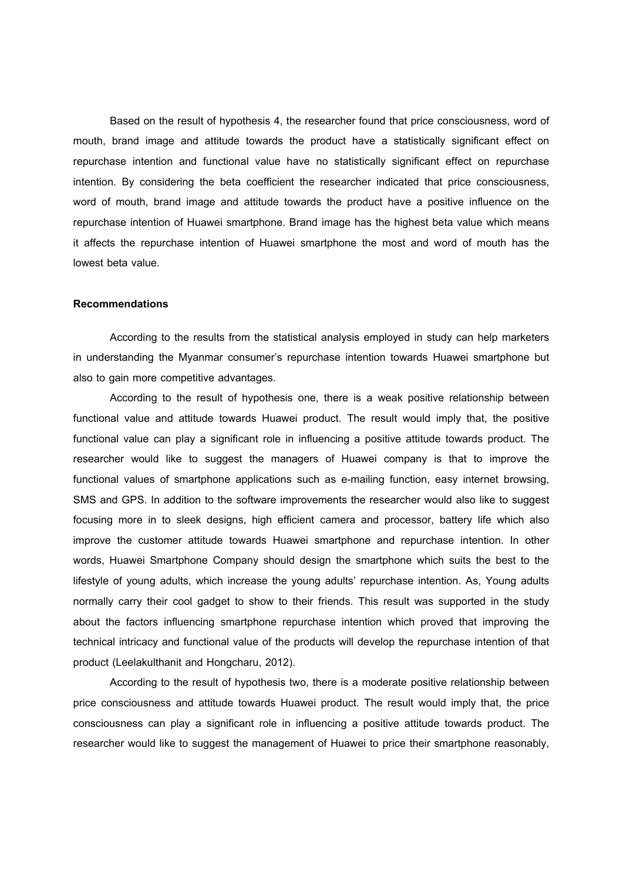Based on the result of hypothesis 4, the researcher found that price consciousness, word of mouth, brand image and attitude towards the product have a statistically significant effect on repurchase intention and functional value have no statistically significant effect on repurchase intention. By considering the beta coefficient the researcher indicated that price consciousness, word of mouth, brand image and attitude towards the product have a positive influence on the repurchase intention of Huawei smartphone. Brand image has the highest beta value which means it affects the repurchase intention of Huawei smartphone the most and word of mouth has the lowest beta value.

## **Recommendations**

According to the results from the statistical analysis employed in study can help marketers in understanding the Myanmar consumer's repurchase intention towards Huawei smartphone but also to gain more competitive advantages.

According to the result of hypothesis one, there is a weak positive relationship between functional value and attitude towards Huawei product. The result would imply that, the positive functional value can play a significant role in influencing a positive attitude towards product. The researcher would like to suggest the managers of Huawei company is that to improve the functional values of smartphone applications such as e-mailing function, easy internet browsing, SMS and GPS. In addition to the software improvements the researcher would also like to suggest focusing more in to sleek designs, high efficient camera and processor, battery life which also improve the customer attitude towards Huawei smartphone and repurchase intention. In other words, Huawei Smartphone Company should design the smartphone which suits the best to the lifestyle of young adults, which increase the young adults' repurchase intention. As, Young adults normally carry their cool gadget to show to their friends. This result was supported in the study about the factors influencing smartphone repurchase intention which proved that improving the technical intricacy and functional value of the products will develop the repurchase intention of that product (Leelakulthanit and Hongcharu, 2012).

According to the result of hypothesis two, there is a moderate positive relationship between price consciousness and attitude towards Huawei product. The result would imply that, the price consciousness can play a significant role in influencing a positive attitude towards product. The researcher would like to suggest the management of Huawei to price their smartphone reasonably,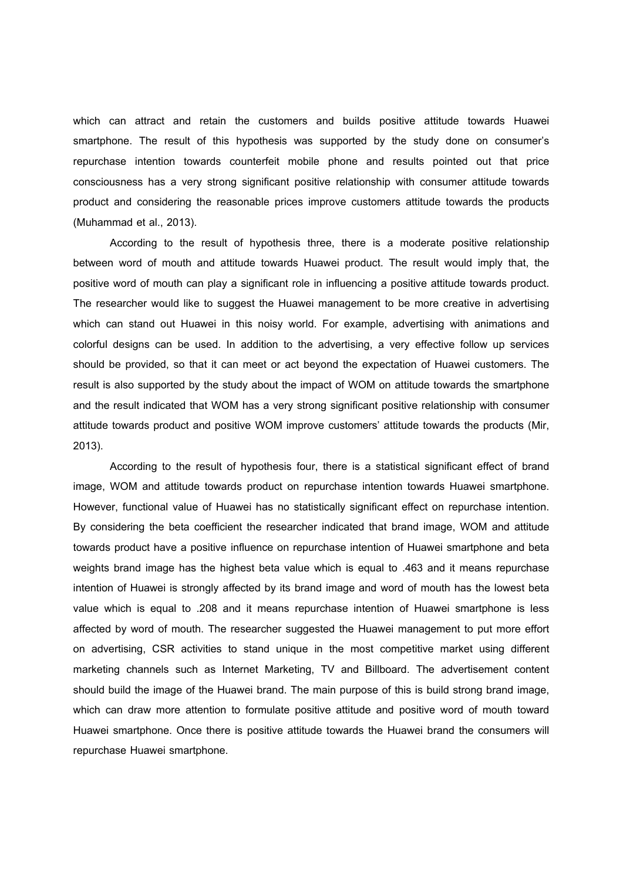which can attract and retain the customers and builds positive attitude towards Huawei smartphone. The result of this hypothesis was supported by the study done on consumer's repurchase intention towards counterfeit mobile phone and results pointed out that price consciousness has a very strong significant positive relationship with consumer attitude towards product and considering the reasonable prices improve customers attitude towards the products (Muhammad et al., 2013).

According to the result of hypothesis three, there is a moderate positive relationship between word of mouth and attitude towards Huawei product. The result would imply that, the positive word of mouth can play a significant role in influencing a positive attitude towards product. The researcher would like to suggest the Huawei management to be more creative in advertising which can stand out Huawei in this noisy world. For example, advertising with animations and colorful designs can be used. In addition to the advertising, a very effective follow up services should be provided, so that it can meet or act beyond the expectation of Huawei customers. The result is also supported by the study about the impact of WOM on attitude towards the smartphone and the result indicated that WOM has a very strong significant positive relationship with consumer attitude towards product and positive WOM improve customers' attitude towards the products (Mir, 2013).

According to the result of hypothesis four, there is a statistical significant effect of brand image, WOM and attitude towards product on repurchase intention towards Huawei smartphone. However, functional value of Huawei has no statistically significant effect on repurchase intention. By considering the beta coefficient the researcher indicated that brand image, WOM and attitude towards product have a positive influence on repurchase intention of Huawei smartphone and beta weights brand image has the highest beta value which is equal to .463 and it means repurchase intention of Huawei is strongly affected by its brand image and word of mouth has the lowest beta value which is equal to .208 and it means repurchase intention of Huawei smartphone is less affected by word of mouth. The researcher suggested the Huawei management to put more effort on advertising, CSR activities to stand unique in the most competitive market using different marketing channels such as Internet Marketing, TV and Billboard. The advertisement content should build the image of the Huawei brand. The main purpose of this is build strong brand image, which can draw more attention to formulate positive attitude and positive word of mouth toward Huawei smartphone. Once there is positive attitude towards the Huawei brand the consumers will repurchase Huawei smartphone.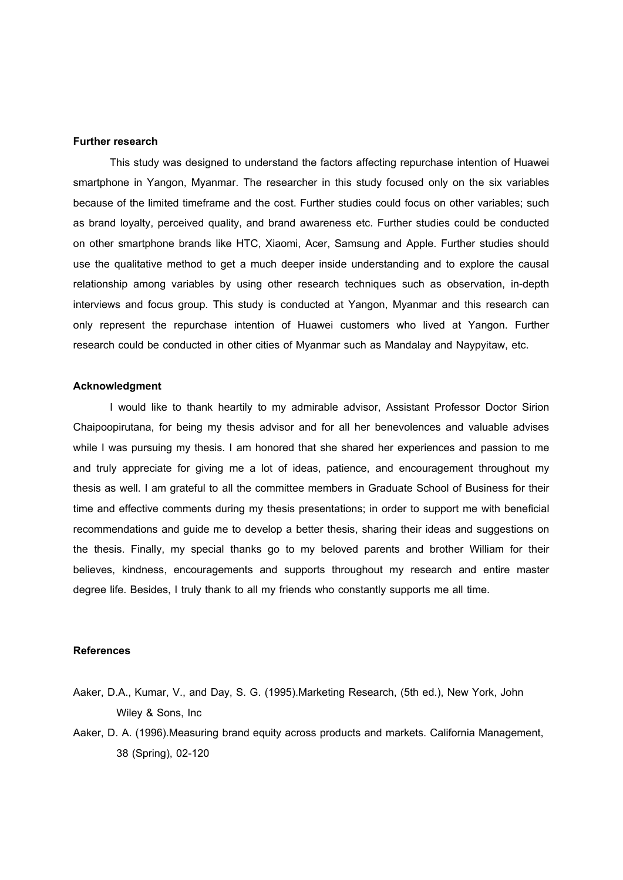### **Further research**

This study was designed to understand the factors affecting repurchase intention of Huawei smartphone in Yangon, Myanmar. The researcher in this study focused only on the six variables because of the limited timeframe and the cost. Further studies could focus on other variables; such as brand loyalty, perceived quality, and brand awareness etc. Further studies could be conducted on other smartphone brands like HTC, Xiaomi, Acer, Samsung and Apple. Further studies should use the qualitative method to get a much deeper inside understanding and to explore the causal relationship among variables by using other research techniques such as observation, in-depth interviews and focus group. This study is conducted at Yangon, Myanmar and this research can only represent the repurchase intention of Huawei customers who lived at Yangon. Further research could be conducted in other cities of Myanmar such as Mandalay and Naypyitaw, etc.

## **Acknowledgment**

I would like to thank heartily to my admirable advisor, Assistant Professor Doctor Sirion Chaipoopirutana, for being my thesis advisor and for all her benevolences and valuable advises while I was pursuing my thesis. I am honored that she shared her experiences and passion to me and truly appreciate for giving me a lot of ideas, patience, and encouragement throughout my thesis as well. I am grateful to all the committee members in Graduate School of Business for their time and effective comments during my thesis presentations; in order to support me with beneficial recommendations and guide me to develop a better thesis, sharing their ideas and suggestions on the thesis. Finally, my special thanks go to my beloved parents and brother William for their believes, kindness, encouragements and supports throughout my research and entire master degree life. Besides, I truly thank to all my friends who constantly supports me all time.

#### **References**

- Aaker, D.A., Kumar, V., and Day, S. G. (1995).Marketing Research, (5th ed.), New York, John Wiley & Sons, Inc
- Aaker, D. A. (1996).Measuring brand equity across products and markets. California Management, 38 (Spring), 02-120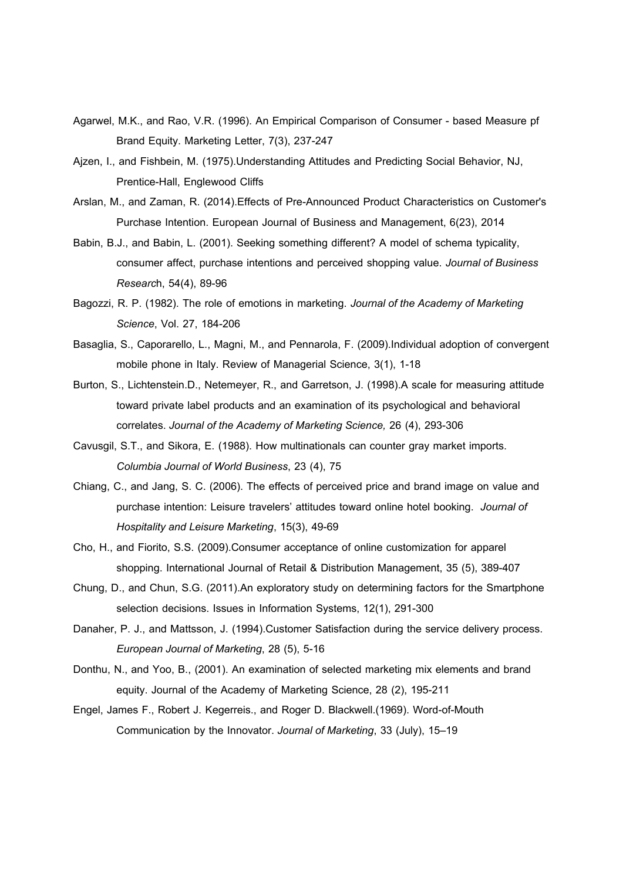- Agarwel, M.K., and Rao, V.R. (1996). An Empirical Comparison of Consumer based Measure pf Brand Equity. Marketing Letter, 7(3), 237-247
- Ajzen, I., and Fishbein, M. (1975).Understanding Attitudes and Predicting Social Behavior, NJ, Prentice-Hall, Englewood Cliffs
- Arslan, M., and Zaman, R. (2014).Effects of Pre-Announced Product Characteristics on Customer's Purchase Intention. European Journal of Business and Management, 6(23), 2014
- Babin, B.J., and Babin, L. (2001). Seeking something different? A model of schema typicality, consumer affect, purchase intentions and perceived shopping value. *Journal of Business Researc*h, 54(4), 89-96
- Bagozzi, R. P. (1982). The role of emotions in marketing. *Journal of the Academy of Marketing Science*, Vol. 27, 184-206
- Basaglia, S., Caporarello, L., Magni, M., and Pennarola, F. (2009).Individual adoption of convergent mobile phone in Italy. Review of Managerial Science, 3(1), 1-18
- Burton, S., Lichtenstein.D., Netemeyer, R., and Garretson, J. (1998).A scale for measuring attitude toward private label products and an examination of its psychological and behavioral correlates. *Journal of the Academy of Marketing Science,* 26 (4), 293-306
- Cavusgil, S.T., and Sikora, E. (1988). How multinationals can counter gray market imports. *Columbia Journal of World Business*, 23 (4), 75
- Chiang, C., and Jang, S. C. (2006). The effects of perceived price and brand image on value and purchase intention: Leisure travelers' attitudes toward online hotel booking. *Journal of Hospitality and Leisure Marketing*, 15(3), 49-69
- Cho, H., and Fiorito, S.S. (2009).Consumer acceptance of online customization for apparel shopping. International Journal of Retail & Distribution Management, 35 (5), 389-407
- Chung, D., and Chun, S.G. (2011).An exploratory study on determining factors for the Smartphone selection decisions. Issues in Information Systems, 12(1), 291-300
- Danaher, P. J., and Mattsson, J. (1994).Customer Satisfaction during the service delivery process. *European Journal of Marketing*, 28 (5), 5-16
- Donthu, N., and Yoo, B., (2001). An examination of selected marketing mix elements and brand equity. Journal of the Academy of Marketing Science, 28 (2), 195-211
- Engel, James F., Robert J. Kegerreis., and Roger D. Blackwell.(1969). Word-of-Mouth Communication by the Innovator. *Journal of Marketing*, 33 (July), 15–19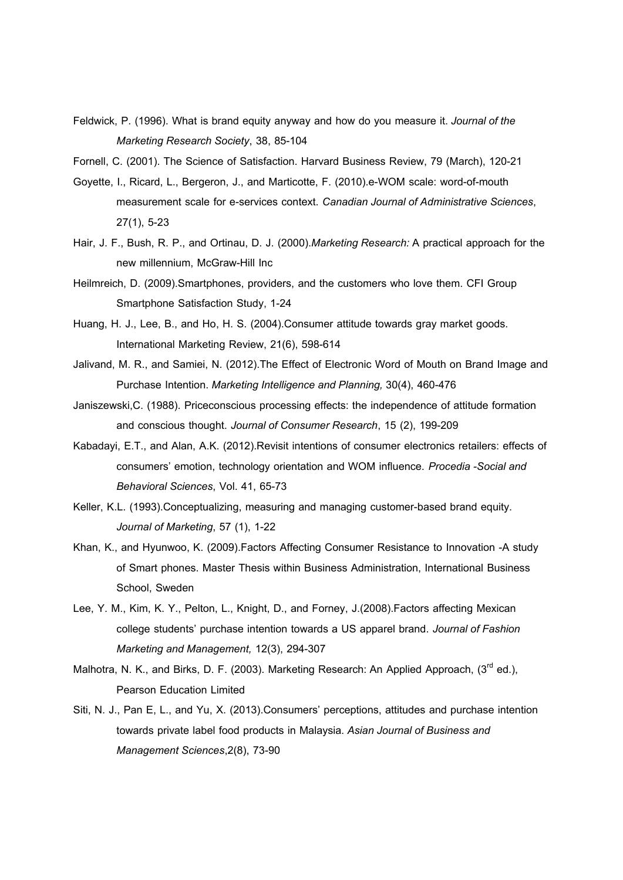Feldwick, P. (1996). What is brand equity anyway and how do you measure it. *Journal of the Marketing Research Society*, 38, 85-104

Fornell, C. (2001). The Science of Satisfaction. Harvard Business Review, 79 (March), 120-21

- Goyette, I., Ricard, L., Bergeron, J., and Marticotte, F. (2010).e-WOM scale: word-of-mouth measurement scale for e-services context. *Canadian Journal of Administrative Sciences*, 27(1), 5-23
- Hair, J. F., Bush, R. P., and Ortinau, D. J. (2000).*Marketing Research:* A practical approach for the new millennium, McGraw-Hill Inc
- Heilmreich, D. (2009).Smartphones, providers, and the customers who love them. CFI Group Smartphone Satisfaction Study, 1-24
- Huang, H. J., Lee, B., and Ho, H. S. (2004).Consumer attitude towards gray market goods. International Marketing Review, 21(6), 598-614
- Jalivand, M. R., and Samiei, N. (2012).The Effect of Electronic Word of Mouth on Brand Image and Purchase Intention. *Marketing Intelligence and Planning,* 30(4), 460-476
- Janiszewski,C. (1988). Priceconscious processing effects: the independence of attitude formation and conscious thought. *Journal of Consumer Research*, 15 (2), 199-209
- Kabadayi, E.T., and Alan, A.K. (2012).Revisit intentions of consumer electronics retailers: effects of consumers' emotion, technology orientation and WOM influence. *Procedia -Social and Behavioral Sciences*, Vol. 41, 65-73
- Keller, K.L. (1993).Conceptualizing, measuring and managing customer-based brand equity. *Journal of Marketing*, 57 (1), 1-22
- Khan, K., and Hyunwoo, K. (2009).Factors Affecting Consumer Resistance to Innovation -A study of Smart phones. Master Thesis within Business Administration, International Business School, Sweden
- Lee, Y. M., Kim, K. Y., Pelton, L., Knight, D., and Forney, J.(2008).Factors affecting Mexican college students' purchase intention towards a US apparel brand. *Journal of Fashion Marketing and Management,* 12(3), 294-307
- Malhotra, N. K., and Birks, D. F. (2003). Marketing Research: An Applied Approach, (3<sup>rd</sup> ed.), Pearson Education Limited
- Siti, N. J., Pan E, L., and Yu, X. (2013).Consumers' perceptions, attitudes and purchase intention towards private label food products in Malaysia*. Asian Journal of Business and Management Sciences*,2(8), 73-90